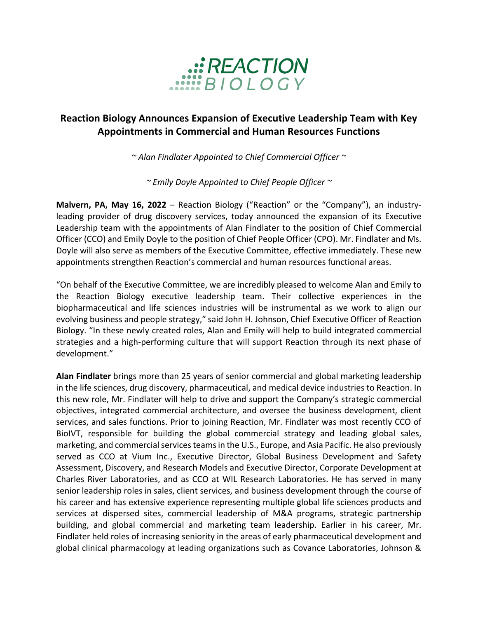

## **Reaction Biology Announces Expansion of Executive Leadership Team with Key Appointments in Commercial and Human Resources Functions**

*~ Alan Findlater Appointed to Chief Commercial Officer ~*

*~ Emily Doyle Appointed to Chief People Officer ~*

**Malvern, PA, May 16, 2022** – Reaction Biology ("Reaction" or the "Company"), an industryleading provider of drug discovery services, today announced the expansion of its Executive Leadership team with the appointments of Alan Findlater to the position of Chief Commercial Officer (CCO) and Emily Doyle to the position of Chief People Officer (CPO). Mr. Findlater and Ms. Doyle will also serve as members of the Executive Committee, effective immediately. These new appointments strengthen Reaction's commercial and human resources functional areas.

"On behalf of the Executive Committee, we are incredibly pleased to welcome Alan and Emily to the Reaction Biology executive leadership team. Their collective experiences in the biopharmaceutical and life sciences industries will be instrumental as we work to align our evolving business and people strategy," said John H. Johnson, Chief Executive Officer of Reaction Biology. "In these newly created roles, Alan and Emily will help to build integrated commercial strategies and a high-performing culture that will support Reaction through its next phase of development."

**Alan Findlater** brings more than 25 years of senior commercial and global marketing leadership in the life sciences, drug discovery, pharmaceutical, and medical device industries to Reaction. In this new role, Mr. Findlater will help to drive and support the Company's strategic commercial objectives, integrated commercial architecture, and oversee the business development, client services, and sales functions. Prior to joining Reaction, Mr. Findlater was most recently CCO of BioIVT, responsible for building the global commercial strategy and leading global sales, marketing, and commercial services teams in the U.S., Europe, and Asia Pacific. He also previously served as CCO at Vium Inc., Executive Director, Global Business Development and Safety Assessment, Discovery, and Research Models and Executive Director, Corporate Development at Charles River Laboratories, and as CCO at WIL Research Laboratories. He has served in many senior leadership roles in sales, client services, and business development through the course of his career and has extensive experience representing multiple global life sciences products and services at dispersed sites, commercial leadership of M&A programs, strategic partnership building, and global commercial and marketing team leadership. Earlier in his career, Mr. Findlater held roles of increasing seniority in the areas of early pharmaceutical development and global clinical pharmacology at leading organizations such as Covance Laboratories, Johnson &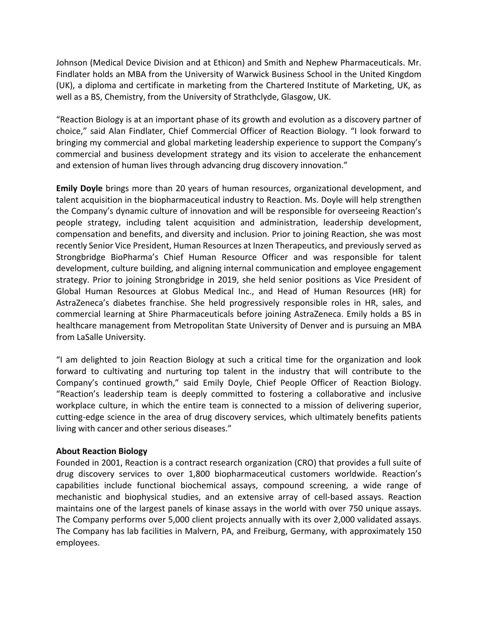Johnson (Medical Device Division and at Ethicon) and Smith and Nephew Pharmaceuticals. Mr. Findlater holds an MBA from the University of Warwick Business School in the United Kingdom (UK), a diploma and certificate in marketing from the Chartered Institute of Marketing, UK, as well as a BS, Chemistry, from the University of Strathclyde, Glasgow, UK.

"Reaction Biology is at an important phase of its growth and evolution as a discovery partner of choice," said Alan Findlater, Chief Commercial Officer of Reaction Biology. "I look forward to bringing my commercial and global marketing leadership experience to support the Company's commercial and business development strategy and its vision to accelerate the enhancement and extension of human lives through advancing drug discovery innovation."

**Emily Doyle** brings more than 20 years of human resources, organizational development, and talent acquisition in the biopharmaceutical industry to Reaction. Ms. Doyle will help strengthen the Company's dynamic culture of innovation and will be responsible for overseeing Reaction's people strategy, including talent acquisition and administration, leadership development, compensation and benefits, and diversity and inclusion. Prior to joining Reaction, she was most recently Senior Vice President, Human Resources at Inzen Therapeutics, and previously served as Strongbridge BioPharma's Chief Human Resource Officer and was responsible for talent development, culture building, and aligning internal communication and employee engagement strategy. Prior to joining Strongbridge in 2019, she held senior positions as Vice President of Global Human Resources at Globus Medical Inc., and Head of Human Resources (HR) for AstraZeneca's diabetes franchise. She held progressively responsible roles in HR, sales, and commercial learning at Shire Pharmaceuticals before joining AstraZeneca. Emily holds a BS in healthcare management from Metropolitan State University of Denver and is pursuing an MBA from LaSalle University.

"I am delighted to join Reaction Biology at such a critical time for the organization and look forward to cultivating and nurturing top talent in the industry that will contribute to the Company's continued growth," said Emily Doyle, Chief People Officer of Reaction Biology. "Reaction's leadership team is deeply committed to fostering a collaborative and inclusive workplace culture, in which the entire team is connected to a mission of delivering superior, cutting-edge science in the area of drug discovery services, which ultimately benefits patients living with cancer and other serious diseases."

## **About Reaction Biology**

Founded in 2001, Reaction is a contract research organization (CRO) that provides a full suite of drug discovery services to over 1,800 biopharmaceutical customers worldwide. Reaction's capabilities include functional biochemical assays, compound screening, a wide range of mechanistic and biophysical studies, and an extensive array of cell-based assays. Reaction maintains one of the largest panels of kinase assays in the world with over 750 unique assays. The Company performs over 5,000 client projects annually with its over 2,000 validated assays. The Company has lab facilities in Malvern, PA, and Freiburg, Germany, with approximately 150 employees.